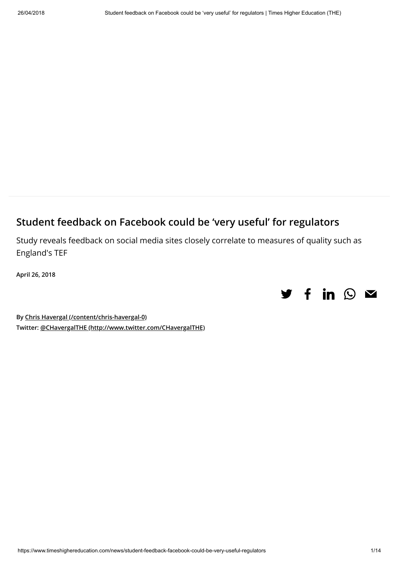# Student feedback on Facebook could be 'very useful' for regulators

Study reveals feedback on social media sites closely correlate to measures of quality such as England's TEF

April 26, 2018



By [Chris Havergal \(/content/chris-havergal-0\)](https://www.timeshighereducation.com/content/chris-havergal-0) Twitter: [@CHavergalTHE \(http://www.twitter.com/CHavergalTHE\)](http://www.twitter.com/CHavergalTHE)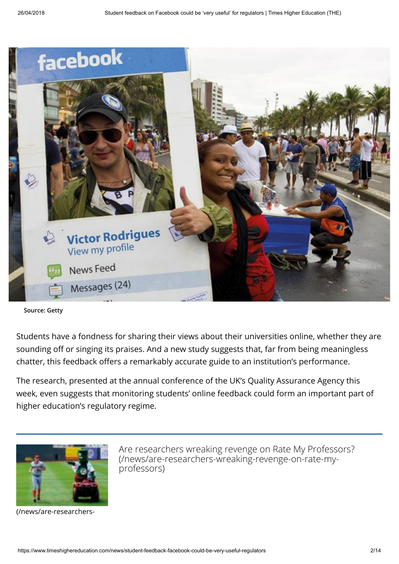

Source: Getty

Students have a fondness for sharing their views about their universities online, whether they are sounding off or singing its praises. And a new study suggests that, far from being meaningless chatter, this feedback offers a remarkably accurate guide to an institution's performance.

The research, presented at the annual conference of the UK's Quality Assurance Agency this week, even suggests that monitoring students' online feedback could form an important part of higher education's regulatory regime.



[\(/news/are-researchers-](https://www.timeshighereducation.com/news/are-researchers-wreaking-revenge-on-rate-my-professors)

[Are researchers wreaking revenge on Rate My Professors?](https://www.timeshighereducation.com/news/are-researchers-wreaking-revenge-on-rate-my-professors) (/news/are-researchers-wreaking-revenge-on-rate-myprofessors)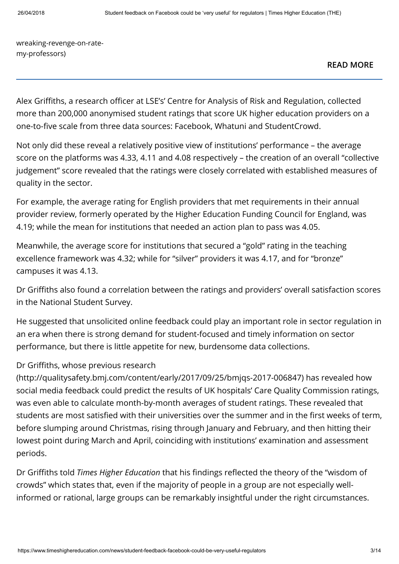[wreaking-revenge-on-rate](https://www.timeshighereducation.com/news/are-researchers-wreaking-revenge-on-rate-my-professors)my-professors)

[READ MORE](https://www.timeshighereducation.com/news/are-researchers-wreaking-revenge-on-rate-my-professors)

Alex Griffiths, a research officer at LSE's' Centre for Analysis of Risk and Regulation, collected more than 200,000 anonymised student ratings that score UK higher education providers on a one-to-five scale from three data sources: Facebook, Whatuni and StudentCrowd.

Not only did these reveal a relatively positive view of institutions' performance – the average score on the platforms was 4.33, 4.11 and 4.08 respectively – the creation of an overall "collective judgement" score revealed that the ratings were closely correlated with established measures of quality in the sector.

For example, the average rating for English providers that met requirements in their annual provider review, formerly operated by the Higher Education Funding Council for England, was 4.19; while the mean for institutions that needed an action plan to pass was 4.05.

Meanwhile, the average score for institutions that secured a "gold" rating in the teaching excellence framework was 4.32; while for "silver" providers it was 4.17, and for "bronze" campuses it was 4.13.

Dr Griths also found a correlation between the ratings and providers' overall satisfaction scores in the National Student Survey.

He suggested that unsolicited online feedback could play an important role in sector regulation in an era when there is strong demand for student-focused and timely information on sector performance, but there is little appetite for new, burdensome data collections.

### Dr Griffiths, whose previous research

[\(http://qualitysafety.bmj.com/content/early/2017/09/25/bmjqs-2017-006847\)](http://qualitysafety.bmj.com/content/early/2017/09/25/bmjqs-2017-006847) has revealed how social media feedback could predict the results of UK hospitals' Care Quality Commission ratings, was even able to calculate month-by-month averages of student ratings. These revealed that students are most satisfied with their universities over the summer and in the first weeks of term, before slumping around Christmas, rising through January and February, and then hitting their lowest point during March and April, coinciding with institutions' examination and assessment periods.

Dr Griffiths told Times Higher Education that his findings reflected the theory of the "wisdom of crowds" which states that, even if the majority of people in a group are not especially wellinformed or rational, large groups can be remarkably insightful under the right circumstances.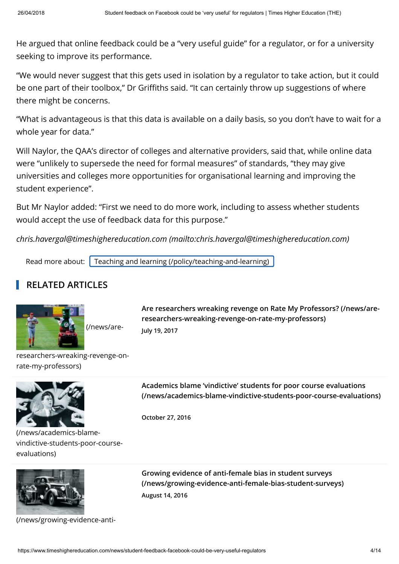He argued that online feedback could be a "very useful guide" for a regulator, or for a university seeking to improve its performance.

"We would never suggest that this gets used in isolation by a regulator to take action, but it could be one part of their toolbox," Dr Griffiths said. "It can certainly throw up suggestions of where there might be concerns.

"What is advantageous is that this data is available on a daily basis, so you don't have to wait for a whole year for data."

Will Naylor, the QAA's director of colleges and alternative providers, said that, while online data were "unlikely to supersede the need for formal measures" of standards, "they may give universities and colleges more opportunities for organisational learning and improving the student experience".

But Mr Naylor added: "First we need to do more work, including to assess whether students would accept the use of feedback data for this purpose."

[chris.havergal@timeshighereducation.com \(mailto:chris.havergal@timeshighereducation.com\)](mailto:chris.havergal@timeshighereducation.com)

Read more about: [Teaching and learning \(/policy/teaching-and-learning\)](https://www.timeshighereducation.com/policy/teaching-and-learning)

# RELATED ARTICLES



(/news/are-

[Are researchers wreaking revenge on Rate My Professors? \(/news/are](https://www.timeshighereducation.com/news/are-researchers-wreaking-revenge-on-rate-my-professors)researchers-wreaking-revenge-on-rate-my-professors) July 19, 2017

[researchers-wreaking-revenge-on](https://www.timeshighereducation.com/news/are-researchers-wreaking-revenge-on-rate-my-professors)rate-my-professors)



(/news/academics-blame[vindictive-students-poor-course](https://www.timeshighereducation.com/news/academics-blame-vindictive-students-poor-course-evaluations)evaluations)



[\(/news/growing-evidence-anti-](https://www.timeshighereducation.com/news/growing-evidence-anti-female-bias-student-surveys)

Academics blame 'vindictive' students for poor course evaluations [\(/news/academics-blame-vindictive-students-poor-course-evaluations\)](https://www.timeshighereducation.com/news/academics-blame-vindictive-students-poor-course-evaluations)

October 27, 2016

Growing evidence of anti-female bias in student surveys [\(/news/growing-evidence-anti-female-bias-student-surveys\)](https://www.timeshighereducation.com/news/growing-evidence-anti-female-bias-student-surveys) August 14, 2016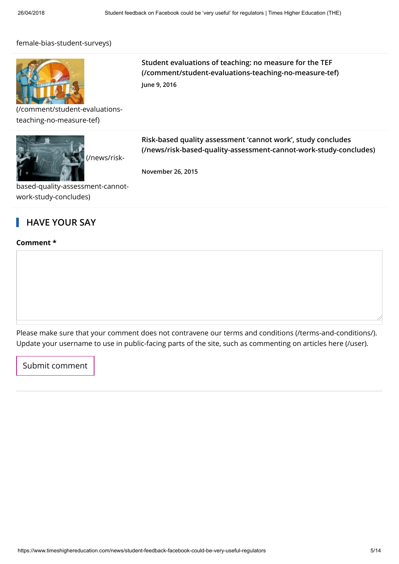#### [female-bias-student-surveys\)](https://www.timeshighereducation.com/news/growing-evidence-anti-female-bias-student-surveys)



[\(/comment/student-evaluations](https://www.timeshighereducation.com/comment/student-evaluations-teaching-no-measure-tef)teaching-no-measure-tef)



Student evaluations of teaching: no measure for the TEF [\(/comment/student-evaluations-teaching-no-measure-tef\)](https://www.timeshighereducation.com/comment/student-evaluations-teaching-no-measure-tef) June 9, 2016

Risk-based quality assessment 'cannot work', study concludes [\(/news/risk-based-quality-assessment-cannot-work-study-concludes\)](https://www.timeshighereducation.com/news/risk-based-quality-assessment-cannot-work-study-concludes)

November 26, 2015

[based-quality-assessment-cannot](https://www.timeshighereducation.com/news/risk-based-quality-assessment-cannot-work-study-concludes)work-study-concludes)

## HAVE YOUR SAY

#### Comment \*

Please make sure that your comment does not contravene our [terms and conditions \(/terms-and-conditions/\)](https://www.timeshighereducation.com/terms-and-conditions/). Update your username to use in public-facing parts of the site, such as commenting on articles [here \(/user\)](https://www.timeshighereducation.com/user).

Submit comment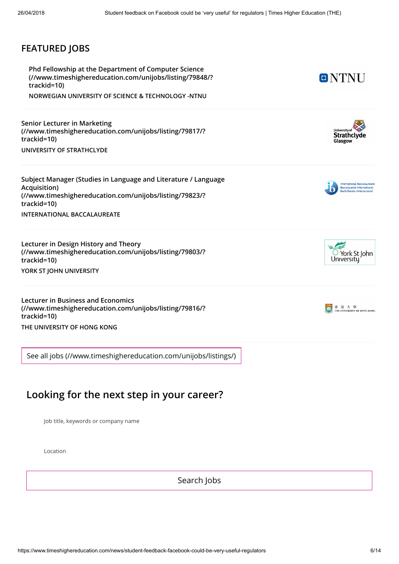### FEATURED JOBS

Phd Fellowship at the Department of Computer Science [\(//www.timeshighereducation.com/unijobs/listing/79848/?](https://www.timeshighereducation.com/unijobs/listing/79848/?trackid=10) trackid=10)

NORWEGIAN UNIVERSITY OF SCIENCE & TECHNOLOGY -NTNU

Senior Lecturer in Marketing [\(//www.timeshighereducation.com/unijobs/listing/79817/?](https://www.timeshighereducation.com/unijobs/listing/79817/?trackid=10) trackid=10) UNIVERSITY OF STRATHCLYDE

[Subject Manager \(Studies in Language and Literature / Language](https://www.timeshighereducation.com/unijobs/listing/79823/?trackid=10) Acquisition) (//www.timeshighereducation.com/unijobs/listing/79823/? trackid=10) INTERNATIONAL BACCALAUREATE

Lecturer in Design History and Theory [\(//www.timeshighereducation.com/unijobs/listing/79803/?](https://www.timeshighereducation.com/unijobs/listing/79803/?trackid=10) trackid=10) YORK ST JOHN UNIVERSITY

Lecturer in Business and Economics [\(//www.timeshighereducation.com/unijobs/listing/79816/?](https://www.timeshighereducation.com/unijobs/listing/79816/?trackid=10) trackid=10) THE UNIVERSITY OF HONG KONG

[See all jobs \(//www.timeshighereducation.com/unijobs/listings/\)](https://www.timeshighereducation.com/unijobs/listings/)

# Looking for the next step in your career?

Job title, keywords or company name

Location

Search Jobs



ONTNU



International Baccalaureate<br>Baccalauréat International Bachillerato Internacional





https://www.timeshighereducation.com/news/student-feedback-facebook-could-be-very-useful-regulators 6/14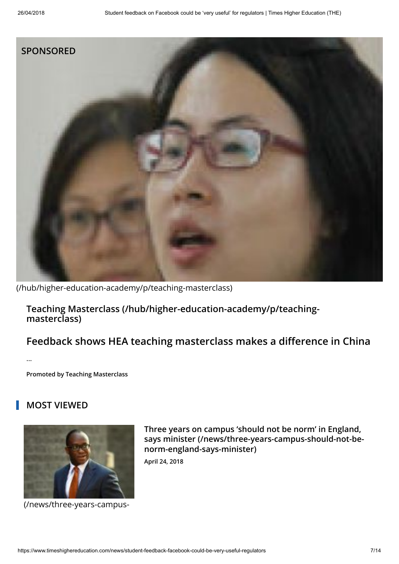

[\(/hub/higher-education-academy/p/teaching-masterclass\)](https://www.timeshighereducation.com/hub/higher-education-academy/p/teaching-masterclass)

[Teaching Masterclass \(/hub/higher-education-academy/p/teaching](https://www.timeshighereducation.com/hub/higher-education-academy/p/teaching-masterclass)masterclass)

# Feedback shows HEA teaching masterclass makes a difference in China

Promoted by Teaching Masterclass

## MOST VIEWED

...



[\(/news/three-years-campus-](https://www.timeshighereducation.com/news/three-years-campus-should-not-be-norm-england-says-minister)

Three years on campus 'should not be norm' in England, [says minister \(/news/three-years-campus-should-not-be](https://www.timeshighereducation.com/news/three-years-campus-should-not-be-norm-england-says-minister)norm-england-says-minister)

April 24, 2018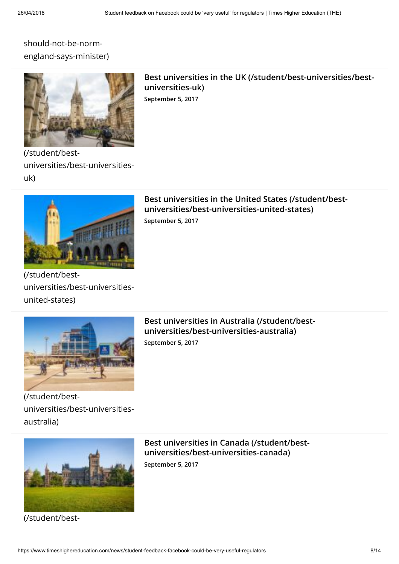## should-not-be-norm[england-says-minister\)](https://www.timeshighereducation.com/news/three-years-campus-should-not-be-norm-england-says-minister)



[Best universities in the UK \(/student/best-universities/best](https://www.timeshighereducation.com/student/best-universities/best-universities-uk)universities-uk) September 5, 2017

(/student/best[universities/best-universities](https://www.timeshighereducation.com/student/best-universities/best-universities-uk)uk)



[Best universities in the United States \(/student/best](https://www.timeshighereducation.com/student/best-universities/best-universities-united-states)universities/best-universities-united-states) September 5, 2017

(/student/best[universities/best-universities](https://www.timeshighereducation.com/student/best-universities/best-universities-united-states)united-states)



(/student/best[universities/best-universities](https://www.timeshighereducation.com/student/best-universities/best-universities-australia)australia)

[Best universities in Australia \(/student/best](https://www.timeshighereducation.com/student/best-universities/best-universities-australia)universities/best-universities-australia) September 5, 2017



[\(/student/best-](https://www.timeshighereducation.com/student/best-universities/best-universities-canada)

[Best universities in Canada \(/student/best](https://www.timeshighereducation.com/student/best-universities/best-universities-canada)universities/best-universities-canada) September 5, 2017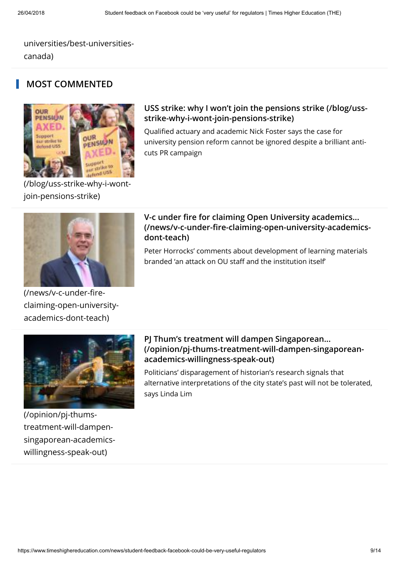[universities/best-universities](https://www.timeshighereducation.com/student/best-universities/best-universities-canada)canada)

### MOST COMMENTED



[\(/blog/uss-strike-why-i-wont](https://www.timeshighereducation.com/blog/uss-strike-why-i-wont-join-pensions-strike)join-pensions-strike)

#### [USS strike: why I won't join the pensions strike \(/blog/uss](https://www.timeshighereducation.com/blog/uss-strike-why-i-wont-join-pensions-strike)strike-why-i-wont-join-pensions-strike)

Qualified actuary and academic Nick Foster says the case for university pension reform cannot be ignored despite a brilliant anticuts PR campaign



#### V-c under fire for claiming Open University academics... (/news/v-c-under-fire-claiming-open-university-academicsdont-teach)

Peter Horrocks' comments about development of learning materials branded 'an attack on OU staff and the institution itself'

academics-dont-teach)

[claiming-open-university-](https://www.timeshighereducation.com/news/v-c-under-fire-claiming-open-university-academics-dont-teach)

(/news/v-c-under-fire-



PJ Thum's treatment will dampen Singaporean... [\(/opinion/pj-thums-treatment-will-dampen-singaporean](https://www.timeshighereducation.com/opinion/pj-thums-treatment-will-dampen-singaporean-academics-willingness-speak-out)academics-willingness-speak-out)

Politicians' disparagement of historian's research signals that alternative interpretations of the city state's past will not be tolerated, says Linda Lim

(/opinion/pj-thumstreatment-will-dampen[singaporean-academics](https://www.timeshighereducation.com/opinion/pj-thums-treatment-will-dampen-singaporean-academics-willingness-speak-out)willingness-speak-out)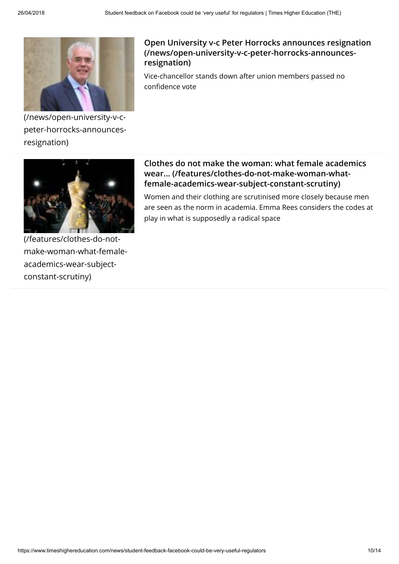

(/news/open-university-v-c[peter-horrocks-announces](https://www.timeshighereducation.com/news/open-university-v-c-peter-horrocks-announces-resignation)resignation)

### [Open University v-c Peter Horrocks announces resignation](https://www.timeshighereducation.com/news/open-university-v-c-peter-horrocks-announces-resignation) (/news/open-university-v-c-peter-horrocks-announcesresignation)

Vice-chancellor stands down after union members passed no confidence vote



#### [Clothes do not make the woman: what female academics](https://www.timeshighereducation.com/features/clothes-do-not-make-woman-what-female-academics-wear-subject-constant-scrutiny) wear... (/features/clothes-do-not-make-woman-whatfemale-academics-wear-subject-constant-scrutiny)

Women and their clothing are scrutinised more closely because men are seen as the norm in academia. Emma Rees considers the codes at play in what is supposedly a radical space

(/features/clothes-do-not[make-woman-what-female](https://www.timeshighereducation.com/features/clothes-do-not-make-woman-what-female-academics-wear-subject-constant-scrutiny)academics-wear-subjectconstant-scrutiny)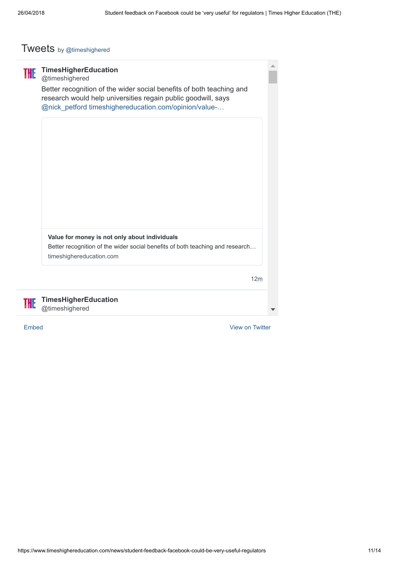# Tweets by [@timeshighered](https://twitter.com/timeshighered)

| THE | <b>TimesHigherEducation</b><br>@timeshighered<br>Better recognition of the wider social benefits of both teaching and<br>research would help universities regain public goodwill, says<br>@nick_petford timeshighereducation.com/opinion/value- |  |
|-----|-------------------------------------------------------------------------------------------------------------------------------------------------------------------------------------------------------------------------------------------------|--|
|     |                                                                                                                                                                                                                                                 |  |
|     | Value for money is not only about individuals<br>Better recognition of the wider social benefits of both teaching and research<br>timeshighereducation.com<br>12m                                                                               |  |
|     | <b>TimesHigherEducation</b><br>@timeshighered                                                                                                                                                                                                   |  |

[Embed](https://publish.twitter.com/?url=https%3A%2F%2Ftwitter.com%2Ftimeshighered) [View on Twitter](https://twitter.com/timeshighered)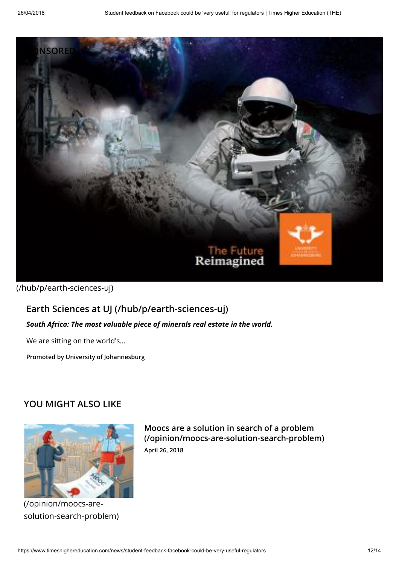

[\(/hub/p/earth-sciences-uj\)](https://www.timeshighereducation.com/hub/p/earth-sciences-uj)

# [Earth Sciences at UJ \(/hub/p/earth-sciences-uj\)](https://www.timeshighereducation.com/hub/p/earth-sciences-uj)

#### South Africa: The most valuable piece of minerals real estate in the world.

We are sitting on the world's...

Promoted by University of Johannesburg

### YOU MIGHT ALSO LIKE



(/opinion/moocs-are[solution-search-problem\)](https://www.timeshighereducation.com/opinion/moocs-are-solution-search-problem)

Moocs are a solution in search of a problem [\(/opinion/moocs-are-solution-search-problem\)](https://www.timeshighereducation.com/opinion/moocs-are-solution-search-problem) April 26, 2018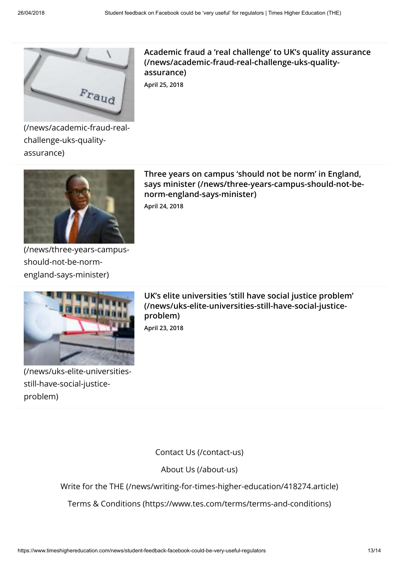

[Academic fraud a 'real challenge' to UK's quality assurance](https://www.timeshighereducation.com/news/academic-fraud-real-challenge-uks-quality-assurance) (/news/academic-fraud-real-challenge-uks-qualityassurance)

April 25, 2018

[\(/news/academic-fraud-real](https://www.timeshighereducation.com/news/academic-fraud-real-challenge-uks-quality-assurance)challenge-uks-qualityassurance)



Three years on campus 'should not be norm' in England, [says minister \(/news/three-years-campus-should-not-be](https://www.timeshighereducation.com/news/three-years-campus-should-not-be-norm-england-says-minister)norm-england-says-minister)

April 24, 2018

[\(/news/three-years-campus](https://www.timeshighereducation.com/news/three-years-campus-should-not-be-norm-england-says-minister)should-not-be-normengland-says-minister)



[\(/news/uks-elite-universities](https://www.timeshighereducation.com/news/uks-elite-universities-still-have-social-justice-problem)still-have-social-justiceproblem)

[UK's elite universities 'still have social justice problem'](https://www.timeshighereducation.com/news/uks-elite-universities-still-have-social-justice-problem) (/news/uks-elite-universities-still-have-social-justiceproblem) April 23, 2018

[Contact Us \(/contact-us\)](https://www.timeshighereducation.com/contact-us)

[About Us \(/about-us\)](https://www.timeshighereducation.com/about-us)

[Write for the THE \(/news/writing-for-times-higher-education/418274.article\)](https://www.timeshighereducation.com/news/writing-for-times-higher-education/418274.article)

[Terms & Conditions \(https://www.tes.com/terms/terms-and-conditions\)](https://www.tes.com/terms/terms-and-conditions)